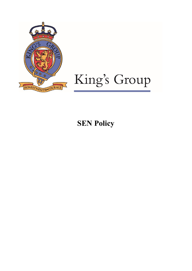

# King's Group

# **SEN Policy**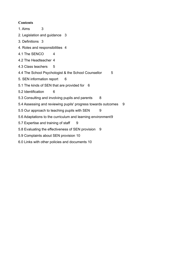# **Contents**

- 1. Aims [3](#page-1-0)
- 2. Legislation and guidance [3](#page-2-0)
- 3. Definitions [3](#page-2-1)
- 4. Roles and responsibilities [4](#page-3-0)
- 4.1 The SENCO [4](#page-3-1)
- 4.2 The Headteacher [4](#page-4-0)
- 4.3 Class teachers [5](#page-4-1)
- 4.4 The School Psychologist & the School Counsellor [5](#page-4-2)
- 5. SEN information report 6
- 5.1 The kinds of SEN that are provided for [6](#page-5-0)
- 5.2 Identification [6](#page-5-1)
- 5.3 Consulting and involving pupils and parents [8](#page-7-0)
- 5.4 Assessing and reviewing pupils' progress towards outcomes [9](#page-8-0)
- 5.5 Our approach to teaching pupils with SEN [9](#page-8-1)
- 5.6 Adaptations to the curriculum and learning environment[9](#page-8-2)
- 5.7 Expertise and training of staff [9](#page-8-3)
- 5.8 Evaluating the effectiveness of SEN provision [9](#page-9-0)
- 5.9 Complaints about SEN provision [10](#page-9-1)
- <span id="page-1-0"></span>6.0 Links with other policies and documents 10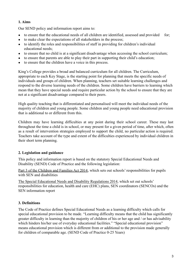# **1. Aims**

Our SEND policy and information report aims to:

- to ensure that the educational needs of all children are identified, assessed and provided for;
- to make clear the expectations of all stakeholders in the process;
- to identify the roles and responsibilities of staff in providing for children's individual educational needs;
- to ensure that no child is at a significant disadvantage when accessing the school curriculum;
- to ensure that parents are able to play their part in supporting their child's education;
- to ensure that the children have a voice in this process.

King's College provides a broad and balanced curriculum for all children. The Curriculum, appropriate to each Key Stage, is the starting point for planning that meets the specific needs of individuals and groups of children. When planning, teachers set suitable learning challenges and respond to the diverse learning needs of the children. Some children have barriers to learning which mean that they have special needs and require particular action by the school to ensure that they are not at a significant disadvantage compared to their peers.

High quality teaching that is differentiated and personalised will meet the individual needs of the majority of children and young people. Some children and young people need educational provision that is additional to or different from this.

Children may have learning difficulties at any point during their school career. These may last throughout the time a child is in school, or may present for a given period of time, after which, often as a result of intervention strategies employed to support the child, no particular action is required. Teachers take account of the type and extent of the difficulties experienced by individual children in their short term planning.

# <span id="page-2-0"></span>**2. Legislation and guidance**

This policy and information report is based on the statutory [Special Educational Needs and](https://www.gov.uk/government/uploads/system/uploads/attachment_data/file/398815/SEND_Code_of_Practice_January_2015.pdf) [Disability \(SEND\) Code of Practice](https://www.gov.uk/government/uploads/system/uploads/attachment_data/file/398815/SEND_Code_of_Practice_January_2015.pdf) and the following legislation:

[Part 3 of the Children and Families Act 2014,](http://www.legislation.gov.uk/ukpga/2014/6/part/3) which sets out schools' responsibilities for pupils with SEN and disabilities

<span id="page-2-1"></span>[The Special Educational Needs and Disability Regulations 2014,](http://www.legislation.gov.uk/uksi/2014/1530/contents/made) which set out schools' responsibilities for education, health and care (EHC) plans, SEN coordinators (SENCOs) and the SEN information report

# **3. Definitions**

The Code of Practice defines Special Educational Needs as a learning difficulty which calls for special educational provision to be made. "Learning difficulty means that the child has significantly greater difficulty in learning than the majority of children of his or her age and / or has advisability which hinders his/her use of everyday educational facilities." "Special educational provision" means educational provision which is different from or additional to the provision made generally for children of comparable age. (SEND Code of Practice 0-25 Years)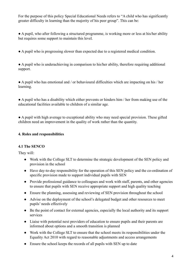For the purpose of this policy Special Educational Needs refers to "A child who has significantly greater difficulty in learning than the majority of his peer group". This can be:

● A pupil, who after following a structured programme, is working more or less at his/her ability but requires some support to maintain this level.

● A pupil who is progressing slower than expected due to a registered medical condition.

● A pupil who is underachieving in comparison to his/her ability, therefore requiring additional support.

● A pupil who has emotional and / or behavioural difficulties which are impacting on his / her learning.

● A pupil who has a disability which either prevents or hinders him / her from making use of the educational facilities available to children of a similar age.

<span id="page-3-0"></span>● A pupil with high average to exceptional ability who may need special provision. These gifted children need an improvement in the quality of work rather than the quantity.

# <span id="page-3-1"></span>**4. Roles and responsibilities**

#### **4.1 The SENCO**

They will:

- Work with the College SLT to determine the strategic development of the SEN policy and provision in the school
- Have day-to-day responsibility for the operation of this SEN policy and the co-ordination of specific provision made to support individual pupils with SEN
- Provide professional guidance to colleagues and work with staff, parents, and other agencies to ensure that pupils with SEN receive appropriate support and high quality teaching
- Ensure the planning, assessing and reviewing of SEN provision throughout the school
- Advise on the deployment of the school's delegated budget and other resources to meet pupils' needs effectively
- Be the point of contact for external agencies, especially the local authority and its support services
- Liaise with potential next providers of education to ensure pupils and their parents are informed about options and a smooth transition is planned
- Work with the College SLT to ensure that the school meets its responsibilities under the Equality Act 2010 with regard to reasonable adjustments and access arrangements
- Ensure the school keeps the records of all pupils with SEN up to date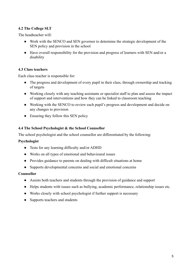# <span id="page-4-0"></span>**4.2 The College SLT**

The headteacher will:

- Work with the SENCO and SEN governor to determine the strategic development of the SEN policy and provision in the school
- <span id="page-4-1"></span>● Have overall responsibility for the provision and progress of learners with SEN and/or a disability

#### **4.3 Class teachers**

Each class teacher is responsible for:

- The progress and development of every pupil in their class, through ownership and tracking of targets
- Working closely with any teaching assistants or specialist staff to plan and assess the impact of support and interventions and how they can be linked to classroom teaching
- Working with the SENCO to review each pupil's progress and development and decide on any changes to provision
- <span id="page-4-2"></span>• Ensuring they follow this SEN policy

#### **4.4 The School Psychologist & the School Counsellor**

The school psychologist and the school counsellor are differentiated by the following:

#### **Psychologist**

- Tests for any learning difficulty and/or ADHD
- Works on all types of emotional and behavioural issues
- Provides guidance to parents on dealing with difficult situations at home
- Supports developmental concerns and social and emotional concerns

#### **Counsellor**

- Assists both teachers and students through the provision of guidance and support
- Helps students with issues such as bullying, academic performance, relationship issues etc.
- Works closely with school psychologist if further support is necessary
- Supports teachers and students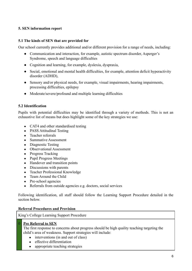# <span id="page-5-0"></span>**5. SEN information report**

#### **5.1 The kinds of SEN that are provided for**

Our school currently provides additional and/or different provision for a range of needs, including:

- Communication and interaction, for example, autistic spectrum disorder, Asperger's Syndrome, speech and language difficulties
- Cognition and learning, for example, dyslexia, dyspraxia,
- Social, emotional and mental health difficulties, for example, attention deficit hyperactivity disorder (ADHD),
- Sensory and/or physical needs, for example, visual impairments, hearing impairments, processing difficulties, epilepsy
- <span id="page-5-1"></span>● Moderate/severe/profound and multiple learning difficulties

#### **5.2 Identification**

Pupils with potential difficulties may be identified through a variety of methods. This is not an exhaustive list of means but does highlight some of the key strategies we use:

- CAT4 and other standardised testing
- PASS Attitudinal Testing
- Teacher referrals
- Summative Assessment
- Diagnostic Testing
- Observational Assessment
- Progress Tracking
- Pupil Progress Meetings
- Handover and transition points
- Discussions with parents
- Teacher Professional Knowledge
- Team Around the Child
- Pre-school agencies
- Referrals from outside agencies e.g. doctors, social services

Following identification, all staff should follow the Learning Support Procedure detailed in the section below.

#### **Referral Procedures and Provision**

King's College Learning Support Procedure

#### 0 **Pre Referral to SEN**

The first response to concerns about progress should be high quality teaching targeting the child's area of weakness. Support strategies will include:

- interventions (in and out of class)
- effective differentiation
- appropriate teaching strategies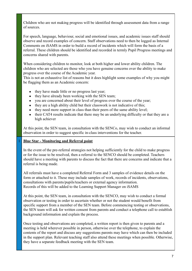Children who are not making progress will be identified through assessment data from a range of sources.

For speech, language, behaviour, social and emotional issues, and academic issues staff should observe and record examples of concern. Staff observations need to then be logged as Internal Comments on iSAMS in order to build a record of incidents which will form the basis of a referral. These children should be identified and recorded in termly Pupil Progress meetings and concerns shared with parents.

When considering children to monitor, look at both higher and lower ability children. The children who are selected are those who you have genuine concerns over the ability to make progress over the course of the Academic year.

This is not an exhaustive list of reasons but it does highlight some examples of why you might be flagging them as an Academic concern:

- they have made little or no progress last year;
- they have already been working with the SEN team;
- you are concerned about their level of progress over the course of the year;
- $\bullet$  they are a high ability child but their classwork is not indicative of this;
- they need more support in class than their peers of the same ability level;
- their CAT4 results indicate that there may be an underlying difficulty or that they are a high achiever

At this point, the SEN team, in consultation with the SENCo, may wish to conduct an informal observation in order to suggest specific in-class interventions for the teacher.

# 1 **Blue Star - Monitoring and Referral point**

In the event of the pre-referral strategies not helping sufficiently for the child to make progress or for the issue to be resolved, then a referral to the SENCO should be completed. Teachers should have a meeting with parents to discuss the fact that there are concerns and indicate that a referral is being made.

All referrals must have a completed Referral Form and 3 samples of evidence details on the form or attached to it. These may include samples of work, records of incidents, observations, consultations with parents/pupils/teachers or external agency information. Records of this will be added to the Learning Support Manager on iSAMS

At this point, the SEN team, in consultation with the SENCO, may wish to conduct a formal observation or testing in order to ascertain whether or not the student would benefit from specific support from a member of the SEN team. Before commencing testing or observations, the SEN team will ask for written consent from parents and conduct a telephone call to establish background information and explain the process.

Once testing and observations are completed, a written report is then given to parents and a meeting is held wherever possible in person, otherwise over the telephone, to explain the contents of the report and discuss any suggestions parents may have which can then be included in the support plan. Relevant teaching staff also attend these meetings when possible. Otherwise, they have a separate feedback meeting with the SEN team.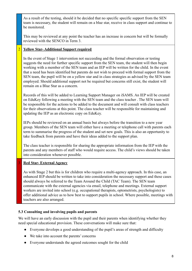As a result of the testing, should it be decided that no specific specific support from the SEN team is necessary, the student will remain on a blue star, receive in class support and continue to be monitored.

This may be reviewed at any point the teacher has an increase in concern but will be formally reviewed with the SENCO in Term 3.

# 2 **Yellow Star- Additional Support required**

In the event of Stage 1 intervention not succeeding and the formal observation or testing suggests the need for further specific support from the SEN team, the student will then begin working with a member of the SEN team and an IEP will be written for the child. In the event that a need has been identified but parents do not wish to proceed with formal support from the SEN team, the pupil will be on a yellow star and in class strategies as advised by the SEN team employed. Should additional support not be required but concerns still exist, the student will remain on a Blue Star as a concern.

Records of this will be added to Learning Support Manager on iSAMS. An IEP will be created on EduKey following a meeting with the SEN team and the class teacher . The SEN team will be responsible for the actions to be added to the document and will consult with class teachers for their observations at this point. The class teacher will be responsible for maintaining and updating the IEP as an electronic copy on EduKey.

IEPs should be reviewed on an annual basis but always before the transition to a new year group. Members of the SEN team will either have a meeting or telephone call with parents each term to summarise the progress of the student and set new goals. This is also an opportunity to take feedback from parents and have their ideas added to the support plan.

The class teacher is responsible for sharing the appropriate information from the IEP with the parents and any members of staff who would require access. The child's views should be taken into consideration whenever possible.

# 3 **Red Star- External Agency**

As with Stage 2 but this is for children who require a multi-agency approach. In this case, an enhanced IEP should be written to take into consideration the necessary support and these cases should always be referred to the Team Around the Child (TAC Team). The SEN team communicate with the external agencies via email, telephone and meetings. External support workers are invited into school (e.g. occupational therapists, optometrists, psychologists) to offer additional advice as to how best to support pupils in school. Where possible, meetings with teachers are also arranged.

# <span id="page-7-0"></span>**5.3 Consulting and involving pupils and parents**

We will have an early discussion with the pupil and their parents when identifying whether they need special educational provision. These conversations will make sure that:

- Everyone develops a good understanding of the pupil's areas of strength and difficulty
- We take into account the parents' concerns
- Everyone understands the agreed outcomes sought for the child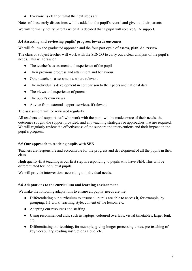● Everyone is clear on what the next steps are

<span id="page-8-0"></span>Notes of these early discussions will be added to the pupil's record and given to their parents. We will formally notify parents when it is decided that a pupil will receive SEN support.

## **5.4 Assessing and reviewing pupils' progress towards outcomes**

We will follow the graduated approach and the four-part cycle of **assess, plan, do, review**.

The class or subject teacher will work with the SENCO to carry out a clear analysis of the pupil's needs. This will draw on:

- The teacher's assessment and experience of the pupil
- Their previous progress and attainment and behaviour
- Other teachers' assessments, where relevant
- The individual's development in comparison to their peers and national data
- The views and experience of parents
- The pupil's own views
- Advice from external support services, if relevant

The assessment will be reviewed regularly.

All teachers and support staff who work with the pupil will be made aware of their needs, the outcomes sought, the support provided, and any teaching strategies or approaches that are required. We will regularly review the effectiveness of the support and interventions and their impact on the pupil's progress.

# <span id="page-8-1"></span>**5.5 Our approach to teaching pupils with SEN**

Teachers are responsible and accountable for the progress and development of all the pupils in their class.

High quality-first teaching is our first step in responding to pupils who have SEN. This will be differentiated for individual pupils.

<span id="page-8-2"></span>We will provide interventions according to individual needs.

# **5.6 Adaptations to the curriculum and learning environment**

We make the following adaptations to ensure all pupils' needs are met:

- Differentiating our curriculum to ensure all pupils are able to access it, for example, by grouping, 1:1 work, teaching style, content of the lesson, etc.
- Adapting our resources and staffing
- Using recommended aids, such as laptops, coloured overlays, visual timetables, larger font, etc.
- <span id="page-8-3"></span>• Differentiating our teaching, for example, giving longer processing times, pre-teaching of key vocabulary, reading instructions aloud, etc.